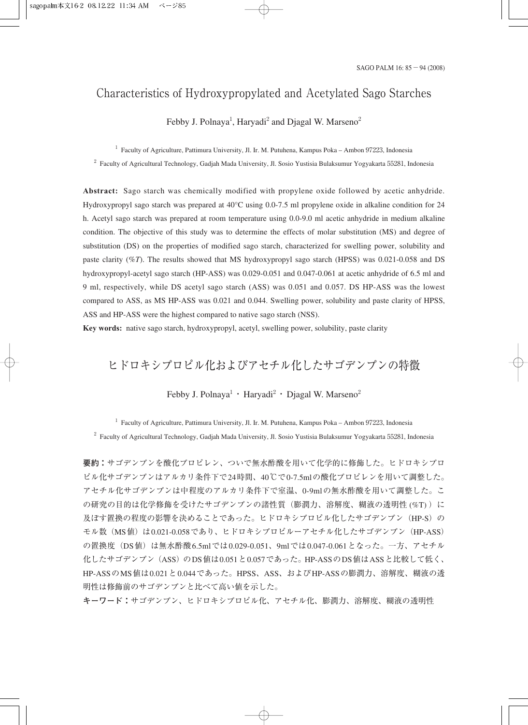# Characteristics of Hydroxypropylated and Acetylated Sago Starches

Febby J. Polnaya<sup>1</sup>, Haryadi<sup>2</sup> and Djagal W. Marseno<sup>2</sup>

<sup>1</sup> Faculty of Agriculture, Pattimura University, Jl. Ir. M. Putuhena, Kampus Poka – Ambon 97223, Indonesia

<sup>2</sup> Faculty of Agricultural Technology, Gadjah Mada University, Jl. Sosio Yustisia Bulaksumur Yogyakarta 55281, Indonesia

**Abstract:** Sago starch was chemically modified with propylene oxide followed by acetic anhydride. Hydroxypropyl sago starch was prepared at 40°C using 0.0-7.5 ml propylene oxide in alkaline condition for 24 h. Acetyl sago starch was prepared at room temperature using 0.0-9.0 ml acetic anhydride in medium alkaline condition. The objective of this study was to determine the effects of molar substitution (MS) and degree of substitution (DS) on the properties of modified sago starch, characterized for swelling power, solubility and paste clarity (%*T*). The results showed that MS hydroxypropyl sago starch (HPSS) was 0.021-0.058 and DS hydroxypropyl-acetyl sago starch (HP-ASS) was 0.029-0.051 and 0.047-0.061 at acetic anhydride of 6.5 ml and 9 ml, respectively, while DS acetyl sago starch (ASS) was 0.051 and 0.057. DS HP-ASS was the lowest compared to ASS, as MS HP-ASS was 0.021 and 0.044. Swelling power, solubility and paste clarity of HPSS, ASS and HP-ASS were the highest compared to native sago starch (NSS).

**Key words:** native sago starch, hydroxypropyl, acetyl, swelling power, solubility, paste clarity

# ヒドロキシプロピル化およびアセチル化したサゴデンプンの特徴

Febby J. Polnaya<sup>1</sup> · Haryadi<sup>2</sup> · Djagal W. Marseno<sup>2</sup>

<sup>1</sup> Faculty of Agriculture, Pattimura University, Jl. Ir. M. Putuhena, Kampus Poka – Ambon 97223, Indonesia <sup>2</sup> Faculty of Agricultural Technology, Gadjah Mada University, Jl. Sosio Yustisia Bulaksumur Yogyakarta 55281, Indonesia

**要約:**サゴデンプンを酸化プロピレン、ついで無水酢酸を用いて化学的に修飾した。ヒドロキシプロ ピル化サゴデンプンはアルカリ条件下で24時間、40℃で0-7.5mlの酸化プロピレンを用いて調整した。 アセチル化サゴデンプンは中程度のアルカリ条件下で室温、0-9mlの無水酢酸を用いて調整した。こ の研究の目的は化学修飾を受けたサゴデンプンの諸性質(膨潤力、溶解度、糊液の透明性 (%T)) に 及ぼす置換の程度の影響を決めることであった。ヒドロキシプロピル化したサゴデンプン (HP-S)の モル数 (MS値) は0.021-0.058であり、ヒドロキシプロピルーアセチル化したサゴデンプン (HP-ASS) の置換度(DS値)は無水酢酸6.5mlでは0.029-0.051、9mlでは0.047-0.061となった。一方、アセチル 化したサゴデンプン(ASS)のDS値は0.051と0.057であった。HP-ASSのDS値はASSと比較して低く、 HP-ASSのMS値は0.021と0.044であった。HPSS、ASS、およびHP-ASSの膨潤力、溶解度、糊液の透 明性は修飾前のサゴデンプンと比べて高い値を示した。

**キーワード:**サゴデンプン、ヒドロキシプロピル化、アセチル化、膨潤力、溶解度、糊液の透明性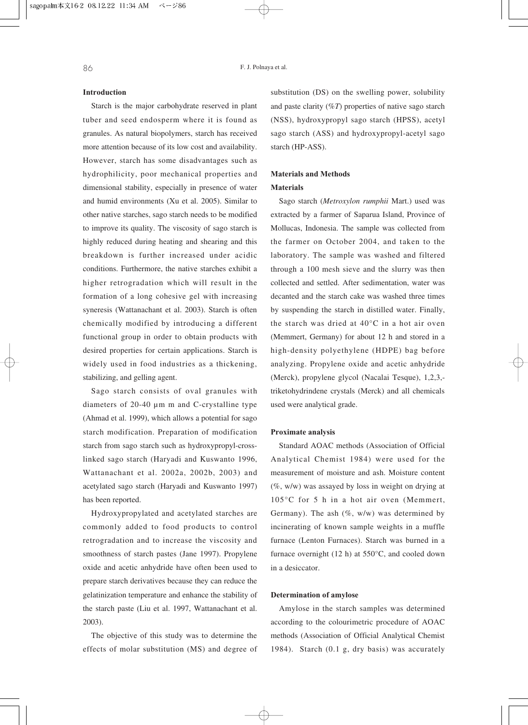### **Introduction**

Starch is the major carbohydrate reserved in plant tuber and seed endosperm where it is found as granules. As natural biopolymers, starch has received more attention because of its low cost and availability. However, starch has some disadvantages such as hydrophilicity, poor mechanical properties and dimensional stability, especially in presence of water and humid environments (Xu et al. 2005). Similar to other native starches, sago starch needs to be modified to improve its quality. The viscosity of sago starch is highly reduced during heating and shearing and this breakdown is further increased under acidic conditions. Furthermore, the native starches exhibit a higher retrogradation which will result in the formation of a long cohesive gel with increasing syneresis (Wattanachant et al. 2003). Starch is often chemically modified by introducing a different functional group in order to obtain products with desired properties for certain applications. Starch is widely used in food industries as a thickening, stabilizing, and gelling agent.

Sago starch consists of oval granules with diameters of 20-40 µm m and C-crystalline type (Ahmad et al. 1999), which allows a potential for sago starch modification. Preparation of modification starch from sago starch such as hydroxypropyl-crosslinked sago starch (Haryadi and Kuswanto 1996, Wattanachant et al. 2002a, 2002b, 2003) and acetylated sago starch (Haryadi and Kuswanto 1997) has been reported.

Hydroxypropylated and acetylated starches are commonly added to food products to control retrogradation and to increase the viscosity and smoothness of starch pastes (Jane 1997). Propylene oxide and acetic anhydride have often been used to prepare starch derivatives because they can reduce the gelatinization temperature and enhance the stability of the starch paste (Liu et al. 1997, Wattanachant et al. 2003).

The objective of this study was to determine the effects of molar substitution (MS) and degree of substitution (DS) on the swelling power, solubility and paste clarity (%*T*) properties of native sago starch (NSS), hydroxypropyl sago starch (HPSS), acetyl sago starch (ASS) and hydroxypropyl-acetyl sago starch (HP-ASS).

## **Materials and Methods Materials**

Sago starch (*Metroxylon rumphii* Mart.) used was extracted by a farmer of Saparua Island, Province of Mollucas, Indonesia. The sample was collected from the farmer on October 2004, and taken to the laboratory. The sample was washed and filtered through a 100 mesh sieve and the slurry was then collected and settled. After sedimentation, water was decanted and the starch cake was washed three times by suspending the starch in distilled water. Finally, the starch was dried at 40°C in a hot air oven (Memmert, Germany) for about 12 h and stored in a high-density polyethylene (HDPE) bag before analyzing. Propylene oxide and acetic anhydride (Merck), propylene glycol (Nacalai Tesque), 1,2,3, triketohydrindene crystals (Merck) and all chemicals used were analytical grade.

#### **Proximate analysis**

Standard AOAC methods (Association of Official Analytical Chemist 1984) were used for the measurement of moisture and ash. Moisture content  $(\%$ , w/w) was assayed by loss in weight on drying at 105°C for 5 h in a hot air oven (Memmert, Germany). The ash  $(\%$ , w/w) was determined by incinerating of known sample weights in a muffle furnace (Lenton Furnaces). Starch was burned in a furnace overnight (12 h) at 550°C, and cooled down in a desiccator.

#### **Determination of amylose**

Amylose in the starch samples was determined according to the colourimetric procedure of AOAC methods (Association of Official Analytical Chemist 1984). Starch (0.1 g, dry basis) was accurately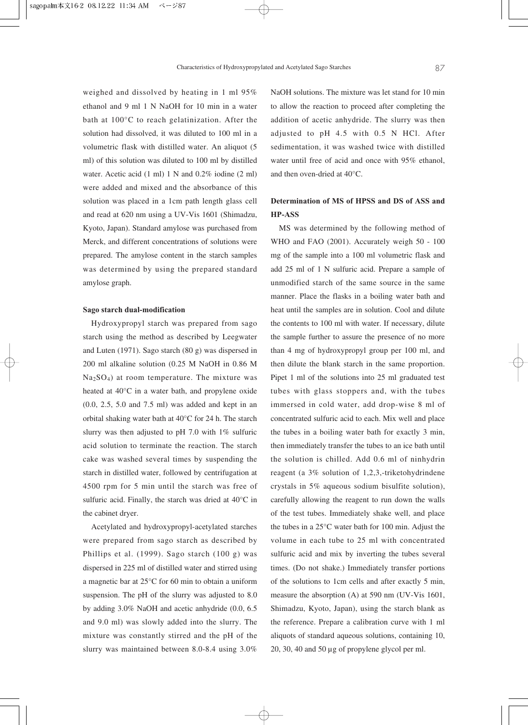weighed and dissolved by heating in 1 ml 95% ethanol and 9 ml 1 N NaOH for 10 min in a water bath at 100°C to reach gelatinization. After the solution had dissolved, it was diluted to 100 ml in a volumetric flask with distilled water. An aliquot (5 ml) of this solution was diluted to 100 ml by distilled water. Acetic acid (1 ml) 1 N and 0.2% iodine (2 ml) were added and mixed and the absorbance of this solution was placed in a 1cm path length glass cell and read at 620 nm using a UV-Vis 1601 (Shimadzu, Kyoto, Japan). Standard amylose was purchased from Merck, and different concentrations of solutions were prepared. The amylose content in the starch samples was determined by using the prepared standard amylose graph.

#### **Sago starch dual-modification**

Hydroxypropyl starch was prepared from sago starch using the method as described by Leegwater and Luten (1971). Sago starch (80 g) was dispersed in 200 ml alkaline solution (0.25 M NaOH in 0.86 M  $Na<sub>2</sub>SO<sub>4</sub>$ ) at room temperature. The mixture was heated at 40°C in a water bath, and propylene oxide (0.0, 2.5, 5.0 and 7.5 ml) was added and kept in an orbital shaking water bath at 40°C for 24 h. The starch slurry was then adjusted to pH 7.0 with  $1\%$  sulfuric acid solution to terminate the reaction. The starch cake was washed several times by suspending the starch in distilled water, followed by centrifugation at 4500 rpm for 5 min until the starch was free of sulfuric acid. Finally, the starch was dried at 40°C in the cabinet dryer.

Acetylated and hydroxypropyl-acetylated starches were prepared from sago starch as described by Phillips et al. (1999). Sago starch (100 g) was dispersed in 225 ml of distilled water and stirred using a magnetic bar at 25°C for 60 min to obtain a uniform suspension. The pH of the slurry was adjusted to 8.0 by adding 3.0% NaOH and acetic anhydride (0.0, 6.5 and 9.0 ml) was slowly added into the slurry. The mixture was constantly stirred and the pH of the slurry was maintained between 8.0-8.4 using 3.0%

NaOH solutions. The mixture was let stand for 10 min to allow the reaction to proceed after completing the addition of acetic anhydride. The slurry was then adjusted to pH 4.5 with 0.5 N HCl. After sedimentation, it was washed twice with distilled water until free of acid and once with 95% ethanol, and then oven-dried at 40°C.

# **Determination of MS of HPSS and DS of ASS and HP-ASS**

MS was determined by the following method of WHO and FAO (2001). Accurately weigh 50 - 100 mg of the sample into a 100 ml volumetric flask and add 25 ml of 1 N sulfuric acid. Prepare a sample of unmodified starch of the same source in the same manner. Place the flasks in a boiling water bath and heat until the samples are in solution. Cool and dilute the contents to 100 ml with water. If necessary, dilute the sample further to assure the presence of no more than 4 mg of hydroxypropyl group per 100 ml, and then dilute the blank starch in the same proportion. Pipet 1 ml of the solutions into 25 ml graduated test tubes with glass stoppers and, with the tubes immersed in cold water, add drop-wise 8 ml of concentrated sulfuric acid to each. Mix well and place the tubes in a boiling water bath for exactly 3 min, then immediately transfer the tubes to an ice bath until the solution is chilled. Add 0.6 ml of ninhydrin reagent (a 3% solution of 1,2,3,-triketohydrindene crystals in 5% aqueous sodium bisulfite solution), carefully allowing the reagent to run down the walls of the test tubes. Immediately shake well, and place the tubes in a 25°C water bath for 100 min. Adjust the volume in each tube to 25 ml with concentrated sulfuric acid and mix by inverting the tubes several times. (Do not shake.) Immediately transfer portions of the solutions to 1cm cells and after exactly 5 min, measure the absorption (A) at 590 nm (UV-Vis 1601, Shimadzu, Kyoto, Japan), using the starch blank as the reference. Prepare a calibration curve with 1 ml aliquots of standard aqueous solutions, containing 10, 20, 30, 40 and 50 µg of propylene glycol per ml.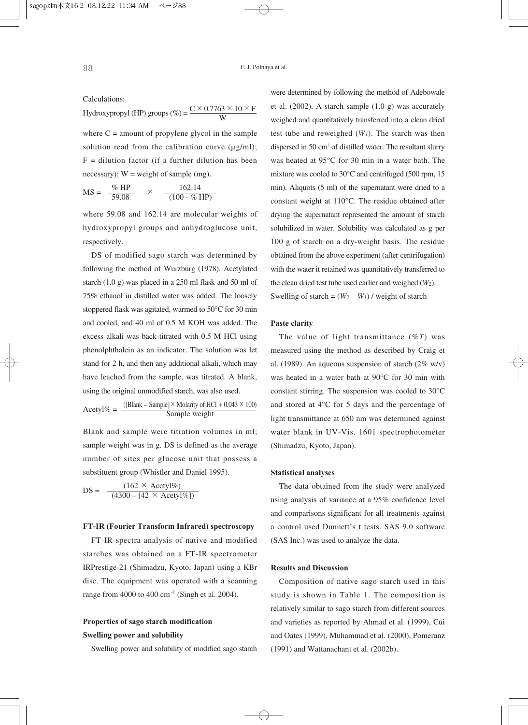Calculations:

Hydroxypropyl (HP) groups (%) =  $\frac{C \times 0.7763 \times 10 \times F}{W}$ W

where  $C =$  amount of propylene glycol in the sample solution read from the calibration curve  $(\mu g/ml)$ ;  $F =$  dilution factor (if a further dilution has been necessary);  $W = weight of sample (mg)$ .

$$
MS = \frac{\% HP}{59.08} \times \frac{162.14}{(100 - \% HP)}
$$

where 59.08 and 162.14 are molecular weights of hydroxypropyl groups and anhydroglucose unit, respectively.

DS of modified sago starch was determined by following the method of Wurzburg (1978). Acetylated starch (1.0 g) was placed in a 250 ml flask and 50 ml of 75% ethanol in distilled water was added. The loosely stoppered flask was agitated, warmed to 50°C for 30 min and cooled, and 40 ml of 0.5 M KOH was added. The excess alkali was back-titrated with 0.5 M HCl using phenolphthalein as an indicator. The solution was let stand for 2 h, and then any additional alkali, which may have leached from the sample, was titrated. A blank, using the original unmodified starch, was also used.

 $Acetyl\% = \frac{([Blank - Sample] \times Molarity \ of \ HCl + 0.043 \times 100)}{Sample \ weight}$ 

Blank and sample were titration volumes in ml; sample weight was in g. DS is defined as the average number of sites per glucose unit that possess a substituent group (Whistler and Daniel 1995).

 $DS = \frac{(162 \times \text{Acetyl\%})}{(4300 - [42 \times \text{Acetyl\%}])}$ 

### **FT-IR (Fourier Transform Infrared) spectroscopy**

FT-IR spectra analysis of native and modified starches was obtained on a FT-IR spectrometer IRPrestige-21 (Shimadzu, Kyoto, Japan) using a KBr disc. The equipment was operated with a scanning range from 4000 to 400 cm $^{-1}$  (Singh et al. 2004).

# **Properties of sago starch modification Swelling power and solubility**

Swelling power and solubility of modified sago starch

were determined by following the method of Adebowale et al. (2002). A starch sample (1.0 g) was accurately weighed and quantitatively transferred into a clean dried test tube and reweighed  $(W<sub>1</sub>)$ . The starch was then dispersed in 50 cm<sup>3</sup> of distilled water. The resultant slurry was heated at 95°C for 30 min in a water bath. The mixture was cooled to 30°C and centrifuged (500 rpm, 15 min). Aliquots (5 ml) of the supernatant were dried to a constant weight at 110°C. The residue obtained after drying the supernatant represented the amount of starch solubilized in water. Solubility was calculated as g per 100 g of starch on a dry-weight basis. The residue obtained from the above experiment (after centrifugation) with the water it retained was quantitatively transferred to the clean dried test tube used earlier and weighed (*W2*). Swelling of starch =  $(W_2 - W_1)$  / weight of starch

#### **Paste clarity**

The value of light transmittance (%*T*) was measured using the method as described by Craig et al. (1989). An aqueous suspension of starch (2% w/v) was heated in a water bath at 90°C for 30 min with constant stirring. The suspension was cooled to 30°C and stored at 4°C for 5 days and the percentage of light transmittance at 650 nm was determined against water blank in UV-Vis. 1601 spectrophotometer (Shimadzu, Kyoto, Japan).

#### **Statistical analyses**

The data obtained from the study were analyzed using analysis of variance at a 95% confidence level and comparisons significant for all treatments against a control used Dunnett's t tests. SAS 9.0 software (SAS Inc.) was used to analyze the data.

#### **Results and Discussion**

Composition of native sago starch used in this study is shown in Table 1. The composition is relatively similar to sago starch from different sources and varieties as reported by Ahmad et al. (1999), Cui and Oates (1999), Muhammad et al. (2000), Pomeranz (1991) and Wattanachant et al. (2002b).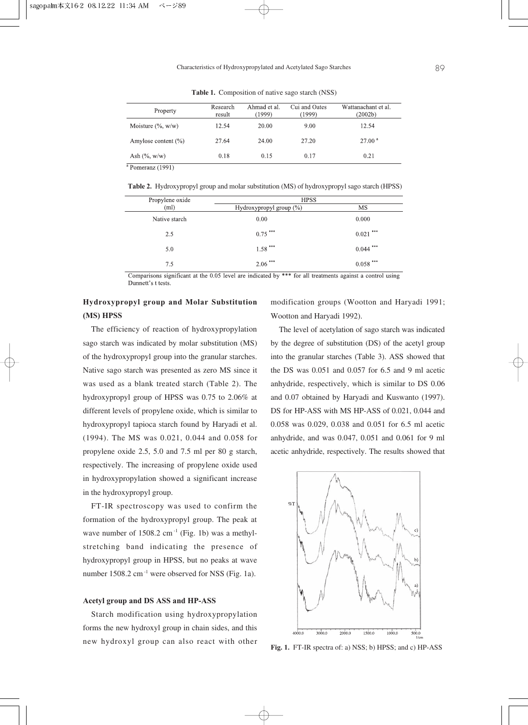| Property                | Research<br>result | Ahmad et al.<br>(1999) | Cui and Oates<br>(1999) | Wattanachant et al.<br>(2002b) |  |
|-------------------------|--------------------|------------------------|-------------------------|--------------------------------|--|
| Moisture $(\%$ , w/w)   | 12.54              | 20.00                  | 9.00                    | 12.54                          |  |
| Amylose content $(\% )$ | 27.64              | 24.00                  | 27.20                   | 27.00 <sup>a</sup>             |  |
| Ash $(\% , w/w)$        | 0.18               | 0.15                   | 0.17                    | 0.21                           |  |
| .<br>.                  |                    |                        |                         |                                |  |

**Table 1.** Composition of native sago starch (NSS)

<sup>a</sup> Pomeranz (1991)

**Table 2.** Hydroxypropyl group and molar substitution (MS) of hydroxypropyl sago starch (HPSS)

| Propylene oxide | <b>HPSS</b>                |             |  |  |
|-----------------|----------------------------|-------------|--|--|
| (ml)            | Hydroxypropyl group $(\%)$ | MS          |  |  |
| Native starch   | 0.00                       | 0.000       |  |  |
| 2.5             | $0.75$ ***                 | $0.021$ *** |  |  |
| 5.0             | $1.58$ ***                 | $0.044$ *** |  |  |
| 7.5             | $2.06$ ***                 | $0.058$ *** |  |  |

Comparisons significant at the 0.05 level are indicated by \*\*\* for all treatments against a control using Dunnett's t tests.

## **Hydroxypropyl group and Molar Substitution (MS) HPSS**

The efficiency of reaction of hydroxypropylation sago starch was indicated by molar substitution (MS) of the hydroxypropyl group into the granular starches. Native sago starch was presented as zero MS since it was used as a blank treated starch (Table 2). The hydroxypropyl group of HPSS was 0.75 to 2.06% at different levels of propylene oxide, which is similar to hydroxypropyl tapioca starch found by Haryadi et al. (1994). The MS was 0.021, 0.044 and 0.058 for propylene oxide 2.5, 5.0 and 7.5 ml per 80 g starch, respectively. The increasing of propylene oxide used in hydroxypropylation showed a significant increase in the hydroxypropyl group.

FT-IR spectroscopy was used to confirm the formation of the hydroxypropyl group. The peak at wave number of  $1508.2$  cm<sup>-1</sup> (Fig. 1b) was a methylstretching band indicating the presence of hydroxypropyl group in HPSS, but no peaks at wave number 1508.2 cm<sup>-1</sup> were observed for NSS (Fig. 1a).

### **Acetyl group and DS ASS and HP-ASS**

Starch modification using hydroxypropylation forms the new hydroxyl group in chain sides, and this new hydroxyl group can also react with other modification groups (Wootton and Haryadi 1991; Wootton and Haryadi 1992).

The level of acetylation of sago starch was indicated by the degree of substitution (DS) of the acetyl group into the granular starches (Table 3). ASS showed that the DS was 0.051 and 0.057 for 6.5 and 9 ml acetic anhydride, respectively, which is similar to DS 0.06 and 0.07 obtained by Haryadi and Kuswanto (1997). DS for HP-ASS with MS HP-ASS of 0.021, 0.044 and 0.058 was 0.029, 0.038 and 0.051 for 6.5 ml acetic anhydride, and was 0.047, 0.051 and 0.061 for 9 ml acetic anhydride, respectively. The results showed that



**Fig. 1.** FT-IR spectra of: a) NSS; b) HPSS; and c) HP-ASS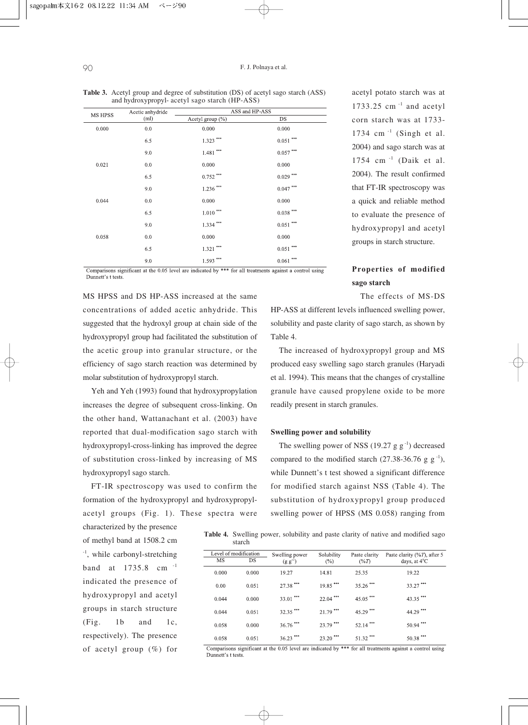|                | Acetic anhydride | ASS and HP-ASS                          |                                          |  |
|----------------|------------------|-----------------------------------------|------------------------------------------|--|
| <b>MS HPSS</b> | (ml)             | Acetyl group $(\% )$                    | DS                                       |  |
| 0.000          | 0.0              | 0.000                                   | 0.000                                    |  |
|                | 6.5              | $1.323\; ^{***}$                        | $0.051$ $\rlap{^{***}}$                  |  |
|                | 9.0              | $1.481\;^{***}$                         | $0.057$ $^{\ast\ast\ast}$                |  |
| 0.021          | 0.0              | 0.000                                   | 0.000                                    |  |
|                | 6.5              | $0.752\; ^{***}$                        | $0.029$ $\hspace{-1.5mm}^{\ast\ast\ast}$ |  |
|                | 9.0              | $1.236\; ^{***}$                        | $0.047\; ^{***}$                         |  |
| 0.044          | 0.0              | 0.000                                   | 0.000                                    |  |
|                | 6.5              | $1.010$ $\hspace{0.1cm}^{\ast\ast\ast}$ | $0.038$ $\hspace{-1.5mm}^{\ast\ast\ast}$ |  |
|                | 9.0              | $1.334$ ***                             | $0.051$ $^{\circ\circ\circ}$             |  |
| 0.058          | 0.0              | 0.000                                   | 0.000                                    |  |
|                | 6.5              | $1.321\,$ $^{***}$                      | $0.051$ $^{\ast\ast\ast}$                |  |
|                | 9.0              | $1.593\; ^{***}$                        | $888$<br>0.061                           |  |

**Table 3.** Acetyl group and degree of substitution (DS) of acetyl sago starch (ASS) and hydroxypropyl- acetyl sago starch (HP-ASS)

Comparisons significant at the 0.05 level are indicated by \*\*\* for all treatments against a control using Dunnett's t tests

MS HPSS and DS HP-ASS increased at the same concentrations of added acetic anhydride. This suggested that the hydroxyl group at chain side of the hydroxypropyl group had facilitated the substitution of the acetic group into granular structure, or the efficiency of sago starch reaction was determined by molar substitution of hydroxypropyl starch.

Yeh and Yeh (1993) found that hydroxypropylation increases the degree of subsequent cross-linking. On the other hand, Wattanachant et al. (2003) have reported that dual-modification sago starch with hydroxypropyl-cross-linking has improved the degree of substitution cross-linked by increasing of MS hydroxypropyl sago starch.

FT-IR spectroscopy was used to confirm the formation of the hydroxypropyl and hydroxypropylacetyl groups (Fig. 1). These spectra were

characterized by the presence of methyl band at 1508.2 cm -1, while carbonyl-stretching band at 1735.8 cm -1 indicated the presence of hydroxypropyl and acetyl groups in starch structure (Fig. 1b and 1c, respectively). The presence of acetyl group (%) for acetyl potato starch was at 1733.25 cm -1 and acetyl corn starch was at 1733- 1734 cm $^{-1}$  (Singh et al. 2004) and sago starch was at 1754 cm -1 (Daik et al. 2004). The result confirmed that FT-IR spectroscopy was a quick and reliable method to evaluate the presence of hydroxypropyl and acetyl groups in starch structure.

**Properties of modified sago starch**

The effects of MS-DS HP-ASS at different levels influenced swelling power, solubility and paste clarity of sago starch, as shown by

The increased of hydroxypropyl group and MS produced easy swelling sago starch granules (Haryadi et al. 1994). This means that the changes of crystalline granule have caused propylene oxide to be more readily present in starch granules.

#### **Swelling power and solubility**

Table 4.

The swelling power of NSS (19.27 g  $g^{-1}$ ) decreased compared to the modified starch  $(27.38-36.76 \text{ g g}^{-1})$ , while Dunnett's t test showed a significant difference for modified starch against NSS (Table 4). The substitution of hydroxypropyl group produced swelling power of HPSS (MS 0.058) ranging from

**Table 4.** Swelling power, solubility and paste clarity of native and modified sago starch

| Level of modification |       |       | Swelling power | Solubility             | Paste clarity          | Paste clarity $(\%T)$ , after 5 |
|-----------------------|-------|-------|----------------|------------------------|------------------------|---------------------------------|
|                       | MS    | DS    | $(g g^{-1})$   | (%)                    | $(\%T)$                | days, at $4^{\circ}$ C          |
|                       | 0.000 | 0.000 | 19.27          | 14.81                  | 25.35                  | 19.22                           |
|                       | 0.00  | 0.051 | 27.38 ***      | $19.85$ <sup>***</sup> | $35.26$ ***            | $33.27$ ***                     |
|                       | 0.044 | 0.000 | $33.01$ ***    | $22.04$ ***            | $45.05$ <sup>***</sup> | $43.35$ <sup>***</sup>          |
|                       | 0.044 | 0.051 | $32.35$ ***    | $21.79$ ***            | 45.29***               | 44.29 ***                       |
|                       | 0.058 | 0.000 | $36.76$ ***    | 23.79 ***              | ***<br>52.14           | $50.94$ ***                     |
|                       | 0.058 | 0.051 | $36.23$ ***    | 888<br>23.20           | ***<br>51.32           | ***<br>50.38                    |

Comparisons significant at the 0.05 level are indicated by \*\*\* for all treatments against a control using Dunnett's t tests.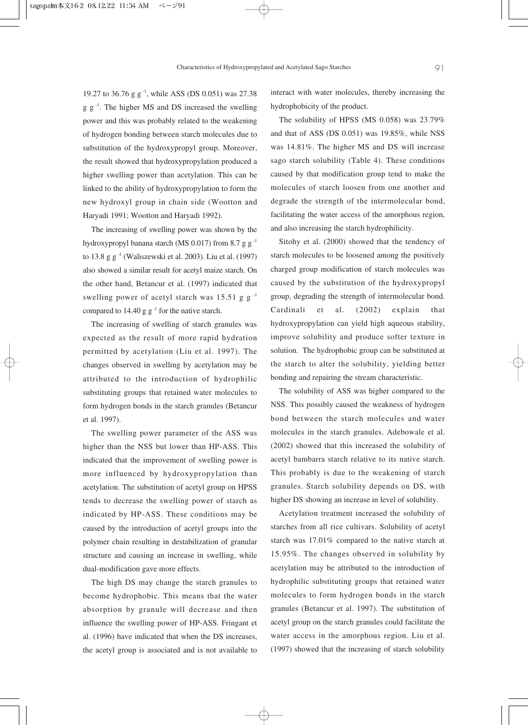19.27 to 36.76 g g<sup>-1</sup>, while ASS (DS 0.051) was 27.38  $g g^{-1}$ . The higher MS and DS increased the swelling power and this was probably related to the weakening of hydrogen bonding between starch molecules due to substitution of the hydroxypropyl group. Moreover, the result showed that hydroxypropylation produced a higher swelling power than acetylation. This can be linked to the ability of hydroxypropylation to form the new hydroxyl group in chain side (Wootton and Haryadi 1991; Wootton and Haryadi 1992).

The increasing of swelling power was shown by the hydroxypropyl banana starch (MS 0.017) from 8.7 g  $g^{-1}$ to 13.8 g  $g^{-1}$  (Waliszewski et al. 2003). Liu et al. (1997) also showed a similar result for acetyl maize starch. On the other hand, Betancur et al. (1997) indicated that swelling power of acetyl starch was 15.51 g  $g^{-1}$ compared to 14.40 g  $g^{-1}$  for the native starch.

The increasing of swelling of starch granules was expected as the result of more rapid hydration permitted by acetylation (Liu et al. 1997). The changes observed in swelling by acetylation may be attributed to the introduction of hydrophilic substituting groups that retained water molecules to form hydrogen bonds in the starch granules (Betancur et al. 1997).

The swelling power parameter of the ASS was higher than the NSS but lower than HP-ASS. This indicated that the improvement of swelling power is more influenced by hydroxypropylation than acetylation. The substitution of acetyl group on HPSS tends to decrease the swelling power of starch as indicated by HP-ASS. These conditions may be caused by the introduction of acetyl groups into the polymer chain resulting in destabilization of granular structure and causing an increase in swelling, while dual-modification gave more effects.

The high DS may change the starch granules to become hydrophobic. This means that the water absorption by granule will decrease and then influence the swelling power of HP-ASS. Fringant et al. (1996) have indicated that when the DS increases, the acetyl group is associated and is not available to interact with water molecules, thereby increasing the hydrophobicity of the product.

The solubility of HPSS (MS 0.058) was 23.79% and that of ASS (DS 0.051) was 19.85%, while NSS was 14.81%. The higher MS and DS will increase sago starch solubility (Table 4). These conditions caused by that modification group tend to make the molecules of starch loosen from one another and degrade the strength of the intermolecular bond, facilitating the water access of the amorphous region, and also increasing the starch hydrophilicity.

Sitohy et al. (2000) showed that the tendency of starch molecules to be loosened among the positively charged group modification of starch molecules was caused by the substitution of the hydroxypropyl group, degrading the strength of intermolecular bond. Cardinali et al. (2002) explain that hydroxypropylation can yield high aqueous stability, improve solubility and produce softer texture in solution. The hydrophobic group can be substituted at the starch to alter the solubility, yielding better bonding and repairing the stream characteristic.

The solubility of ASS was higher compared to the NSS. This possibly caused the weakness of hydrogen bond between the starch molecules and water molecules in the starch granules. Adebowale et al. (2002) showed that this increased the solubility of acetyl bambarra starch relative to its native starch. This probably is due to the weakening of starch granules. Starch solubility depends on DS, with higher DS showing an increase in level of solubility.

Acetylation treatment increased the solubility of starches from all rice cultivars. Solubility of acetyl starch was 17.01% compared to the native starch at 15.95%. The changes observed in solubility by acetylation may be attributed to the introduction of hydrophilic substituting groups that retained water molecules to form hydrogen bonds in the starch granules (Betancur et al. 1997). The substitution of acetyl group on the starch granules could facilitate the water access in the amorphous region. Liu et al. (1997) showed that the increasing of starch solubility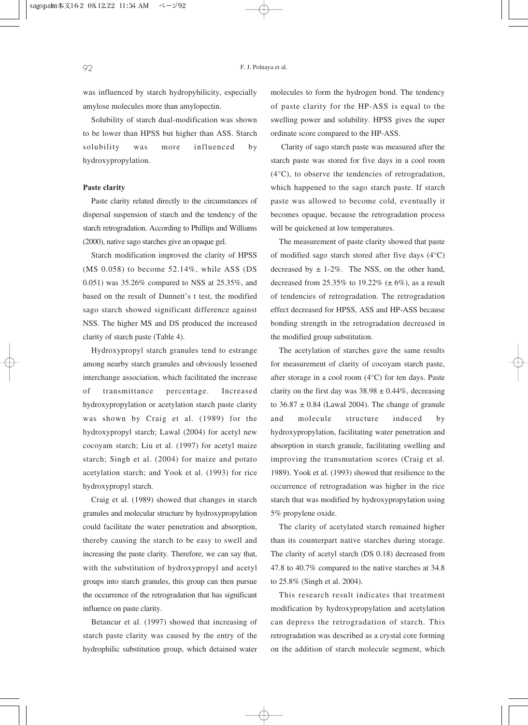was influenced by starch hydropyhilicity, especially amylose molecules more than amylopectin.

Solubility of starch dual-modification was shown to be lower than HPSS but higher than ASS. Starch solubility was more influenced by hydroxypropylation.

#### **Paste clarity**

Paste clarity related directly to the circumstances of dispersal suspension of starch and the tendency of the starch retrogradation. According to Phillips and Williams (2000), native sago starches give an opaque gel.

Starch modification improved the clarity of HPSS (MS 0.058) to become 52.14%, while ASS (DS 0.051) was 35.26% compared to NSS at 25.35%, and based on the result of Dunnett's t test, the modified sago starch showed significant difference against NSS. The higher MS and DS produced the increased clarity of starch paste (Table 4).

Hydroxypropyl starch granules tend to estrange among nearby starch granules and obviously lessened interchange association, which facilitated the increase of transmittance percentage. Increased hydroxypropylation or acetylation starch paste clarity was shown by Craig et al. (1989) for the hydroxypropyl starch; Lawal (2004) for acetyl new cocoyam starch; Liu et al. (1997) for acetyl maize starch; Singh et al. (2004) for maize and potato acetylation starch; and Yook et al. (1993) for rice hydroxypropyl starch.

Craig et al. (1989) showed that changes in starch granules and molecular structure by hydroxypropylation could facilitate the water penetration and absorption, thereby causing the starch to be easy to swell and increasing the paste clarity. Therefore, we can say that, with the substitution of hydroxypropyl and acetyl groups into starch granules, this group can then pursue the occurrence of the retrogradation that has significant influence on paste clarity.

Betancur et al. (1997) showed that increasing of starch paste clarity was caused by the entry of the hydrophilic substitution group, which detained water molecules to form the hydrogen bond. The tendency of paste clarity for the HP-ASS is equal to the swelling power and solubility. HPSS gives the super ordinate score compared to the HP-ASS.

Clarity of sago starch paste was measured after the starch paste was stored for five days in a cool room (4°C), to observe the tendencies of retrogradation, which happened to the sago starch paste. If starch paste was allowed to become cold, eventually it becomes opaque, because the retrogradation process will be quickened at low temperatures.

The measurement of paste clarity showed that paste of modified sago starch stored after five days (4°C) decreased by  $\pm$  1-2%. The NSS, on the other hand, decreased from  $25.35\%$  to  $19.22\%$  ( $\pm$  6%), as a result of tendencies of retrogradation. The retrogradation effect decreased for HPSS, ASS and HP-ASS because bonding strength in the retrogradation decreased in the modified group substitution.

The acetylation of starches gave the same results for measurement of clarity of cocoyam starch paste, after storage in a cool room (4°C) for ten days. Paste clarity on the first day was  $38.98 \pm 0.44\%$ , decreasing to  $36.87 \pm 0.84$  (Lawal 2004). The change of granule and molecule structure induced by hydroxypropylation, facilitating water penetration and absorption in starch granule, facilitating swelling and improving the transmutation scores (Craig et al. 1989). Yook et al. (1993) showed that resilience to the occurrence of retrogradation was higher in the rice starch that was modified by hydroxypropylation using 5% propylene oxide.

The clarity of acetylated starch remained higher than its counterpart native starches during storage. The clarity of acetyl starch (DS 0.18) decreased from 47.8 to 40.7% compared to the native starches at 34.8 to 25.8% (Singh et al. 2004).

This research result indicates that treatment modification by hydroxypropylation and acetylation can depress the retrogradation of starch. This retrogradation was described as a crystal core forming on the addition of starch molecule segment, which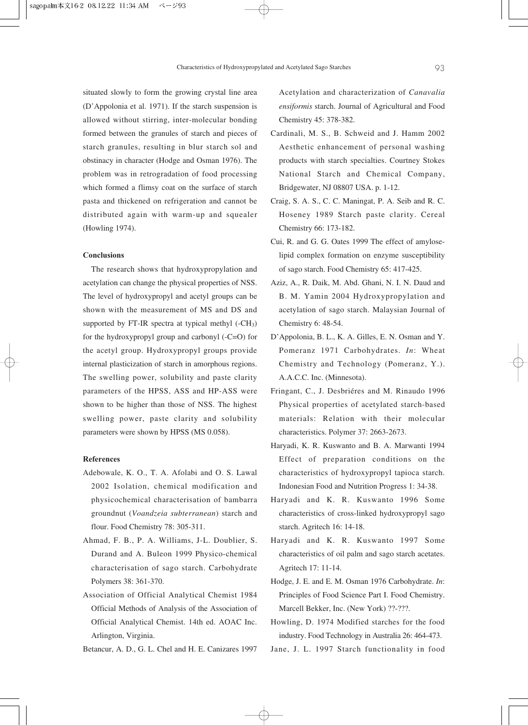situated slowly to form the growing crystal line area (D'Appolonia et al. 1971). If the starch suspension is allowed without stirring, inter-molecular bonding formed between the granules of starch and pieces of starch granules, resulting in blur starch sol and obstinacy in character (Hodge and Osman 1976). The problem was in retrogradation of food processing which formed a flimsy coat on the surface of starch pasta and thickened on refrigeration and cannot be distributed again with warm-up and squealer (Howling 1974).

#### **Conclusions**

The research shows that hydroxypropylation and acetylation can change the physical properties of NSS. The level of hydroxypropyl and acetyl groups can be shown with the measurement of MS and DS and supported by FT-IR spectra at typical methyl  $(-CH<sub>3</sub>)$ for the hydroxypropyl group and carbonyl (-C=O) for the acetyl group. Hydroxypropyl groups provide internal plasticization of starch in amorphous regions. The swelling power, solubility and paste clarity parameters of the HPSS, ASS and HP-ASS were shown to be higher than those of NSS. The highest swelling power, paste clarity and solubility parameters were shown by HPSS (MS 0.058).

### **References**

- Adebowale, K. O., T. A. Afolabi and O. S. Lawal 2002 Isolation, chemical modification and physicochemical characterisation of bambarra groundnut (*Voandzeia subterranean*) starch and flour. Food Chemistry 78: 305-311.
- Ahmad, F. B., P. A. Williams, J-L. Doublier, S. Durand and A. Buleon 1999 Physico-chemical characterisation of sago starch. Carbohydrate Polymers 38: 361-370.
- Association of Official Analytical Chemist 1984 Official Methods of Analysis of the Association of Official Analytical Chemist. 14th ed. AOAC Inc. Arlington, Virginia.

Betancur, A. D., G. L. Chel and H. E. Canizares 1997

Acetylation and characterization of *Canavalia ensiformis* starch. Journal of Agricultural and Food Chemistry 45: 378-382.

- Cardinali, M. S., B. Schweid and J. Hamm 2002 Aesthetic enhancement of personal washing products with starch specialties. Courtney Stokes National Starch and Chemical Company, Bridgewater, NJ 08807 USA. p. 1-12.
- Craig, S. A. S., C. C. Maningat, P. A. Seib and R. C. Hoseney 1989 Starch paste clarity. Cereal Chemistry 66: 173-182.
- Cui, R. and G. G. Oates 1999 The effect of amyloselipid complex formation on enzyme susceptibility of sago starch. Food Chemistry 65: 417-425.
- Aziz, A., R. Daik, M. Abd. Ghani, N. I. N. Daud and B. M. Yamin 2004 Hydroxypropylation and acetylation of sago starch. Malaysian Journal of Chemistry 6: 48-54.
- D'Appolonia, B. L., K. A. Gilles, E. N. Osman and Y. Pomeranz 1971 Carbohydrates. *In*: Wheat Chemistry and Technology (Pomeranz, Y.). A.A.C.C. Inc. (Minnesota).
- Fringant, C., J. Desbriéres and M. Rinaudo 1996 Physical properties of acetylated starch-based materials: Relation with their molecular characteristics. Polymer 37: 2663-2673.
- Haryadi, K. R. Kuswanto and B. A. Marwanti 1994 Effect of preparation conditions on the characteristics of hydroxypropyl tapioca starch. Indonesian Food and Nutrition Progress 1: 34-38.
- Haryadi and K. R. Kuswanto 1996 Some characteristics of cross-linked hydroxypropyl sago starch. Agritech 16: 14-18.
- Haryadi and K. R. Kuswanto 1997 Some characteristics of oil palm and sago starch acetates. Agritech 17: 11-14.
- Hodge, J. E. and E. M. Osman 1976 Carbohydrate. *In*: Principles of Food Science Part I. Food Chemistry. Marcell Bekker, Inc. (New York) ??-???.
- Howling, D. 1974 Modified starches for the food industry. Food Technology in Australia 26: 464-473.
- Jane, J. L. 1997 Starch functionality in food